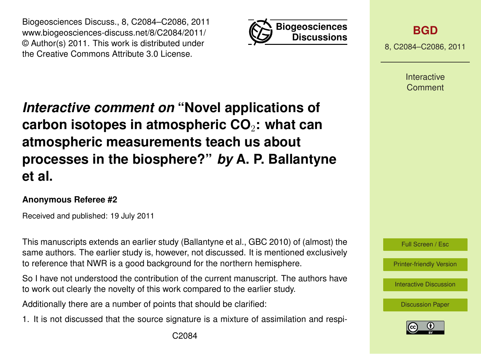Biogeosciences Discuss., 8, C2084–C2086, 2011 www.biogeosciences-discuss.net/8/C2084/2011/ © Author(s) 2011. This work is distributed under the Creative Commons Attribute 3.0 License.



**[BGD](http://www.biogeosciences-discuss.net)**

8, C2084–C2086, 2011

Interactive Comment

## *Interactive comment on* **"Novel applications of carbon isotopes in atmospheric CO**2**: what can atmospheric measurements teach us about processes in the biosphere?"** *by* **A. P. Ballantyne et al.**

## **Anonymous Referee #2**

Received and published: 19 July 2011

This manuscripts extends an earlier study (Ballantyne et al., GBC 2010) of (almost) the same authors. The earlier study is, however, not discussed. It is mentioned exclusively to reference that NWR is a good background for the northern hemisphere.

So I have not understood the contribution of the current manuscript. The authors have to work out clearly the novelty of this work compared to the earlier study.

Additionally there are a number of points that should be clarified:

1. It is not discussed that the source signature is a mixture of assimilation and respi-



[Printer-friendly Version](http://www.biogeosciences-discuss.net/8/C2084/2011/bgd-8-C2084-2011-print.pdf)

[Interactive Discussion](http://www.biogeosciences-discuss.net/8/4603/2011/bgd-8-4603-2011-discussion.html)

[Discussion Paper](http://www.biogeosciences-discuss.net/8/4603/2011/bgd-8-4603-2011.pdf)

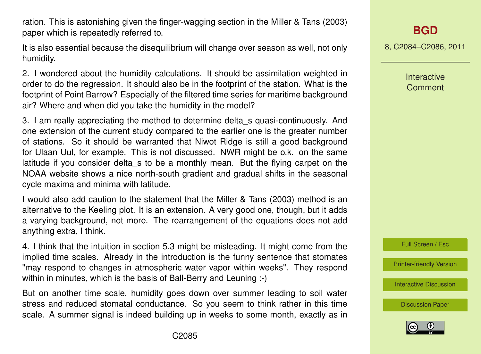ration. This is astonishing given the finger-wagging section in the Miller & Tans (2003) paper which is repeatedly referred to.

It is also essential because the disequilibrium will change over season as well, not only humidity.

2. I wondered about the humidity calculations. It should be assimilation weighted in order to do the regression. It should also be in the footprint of the station. What is the footprint of Point Barrow? Especially of the filtered time series for maritime background air? Where and when did you take the humidity in the model?

3. I am really appreciating the method to determine delta\_s quasi-continuously. And one extension of the current study compared to the earlier one is the greater number of stations. So it should be warranted that Niwot Ridge is still a good background for Ulaan Uul, for example. This is not discussed. NWR might be o.k. on the same latitude if you consider delta s to be a monthly mean. But the flying carpet on the NOAA website shows a nice north-south gradient and gradual shifts in the seasonal cycle maxima and minima with latitude.

I would also add caution to the statement that the Miller & Tans (2003) method is an alternative to the Keeling plot. It is an extension. A very good one, though, but it adds a varying background, not more. The rearrangement of the equations does not add anything extra, I think.

4. I think that the intuition in section 5.3 might be misleading. It might come from the implied time scales. Already in the introduction is the funny sentence that stomates "may respond to changes in atmospheric water vapor within weeks". They respond within in minutes, which is the basis of Ball-Berry and Leuning :-)

But on another time scale, humidity goes down over summer leading to soil water stress and reduced stomatal conductance. So you seem to think rather in this time scale. A summer signal is indeed building up in weeks to some month, exactly as in 8, C2084–C2086, 2011

Interactive **Comment** 



[Printer-friendly Version](http://www.biogeosciences-discuss.net/8/C2084/2011/bgd-8-C2084-2011-print.pdf)

[Interactive Discussion](http://www.biogeosciences-discuss.net/8/4603/2011/bgd-8-4603-2011-discussion.html)

[Discussion Paper](http://www.biogeosciences-discuss.net/8/4603/2011/bgd-8-4603-2011.pdf)